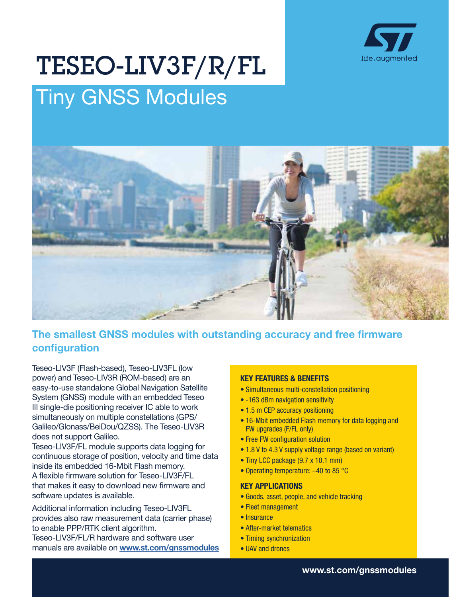

# Tiny GNSS Modules TESEO-LIV3F/R/FL



# The smallest GNSS modules with outstanding accuracy and free firmware configuration

Teseo-LIV3F (Flash-based), Teseo-LIV3FL (low power) and Teseo-LIV3R (ROM-based) are an easy-to-use standalone Global Navigation Satellite System (GNSS) module with an embedded Teseo III single-die positioning receiver IC able to work simultaneously on multiple constellations (GPS/ Galileo/Glonass/BeiDou/QZSS). The Teseo-LIV3R does not support Galileo.

Teseo-LIV3F/FL module supports data logging for continuous storage of position, velocity and time data inside its embedded 16-Mbit Flash memory. A flexible firmware solution for Teseo-LIV3F/FL that makes it easy to download new firmware and software updates is available.

Additional information including Teseo-LIV3FL provides also raw measurement data (carrier phase) to enable PPP/RTK client algorithm.

Teseo-LIV3F/FL/R hardware and software user manuals are available on [www.st.com/gnssmodules](http://www.st.com/gnssmodules)

# KEY FEATURES & BENEFITS

- Simultaneous multi-constellation positioning
- -163 dBm navigation sensitivity
- 1.5 m CEP accuracy positioning
- 16-Mbit embedded Flash memory for data logging and FW upgrades (F/FL only)
- Free FW configuration solution
- 1.8 V to 4.3 V supply voltage range (based on variant)
- Tiny LCC package (9.7 x 10.1 mm)
- Operating temperature: –40 to 85 °C

#### KEY APPLICATIONS

- Goods, asset, people, and vehicle tracking
- Fleet management
- Insurance
- After-market telematics
- Timing synchronization
- UAV and drones